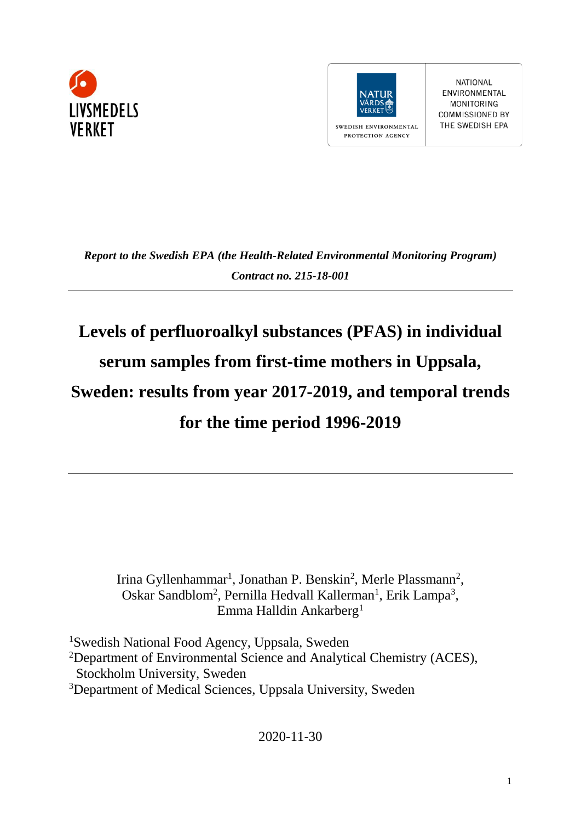



NATIONAL ENVIRONMENTAL **MONITORING COMMISSIONED BY** THE SWEDISH EPA

*Report to the Swedish EPA (the Health-Related Environmental Monitoring Program) Contract no. 215-18-001*

# **Levels of perfluoroalkyl substances (PFAS) in individual serum samples from first-time mothers in Uppsala, Sweden: results from year 2017-2019, and temporal trends for the time period 1996-2019**

Irina Gyllenhammar<sup>1</sup>, Jonathan P. Benskin<sup>2</sup>, Merle Plassmann<sup>2</sup>, Oskar Sandblom<sup>2</sup>, Pernilla Hedvall Kallerman<sup>1</sup>, Erik Lampa<sup>3</sup>, Emma Halldin Ankarberg<sup>1</sup>

Swedish National Food Agency, Uppsala, Sweden Department of Environmental Science and Analytical Chemistry (ACES), Stockholm University, Sweden Department of Medical Sciences, Uppsala University, Sweden

2020-11-30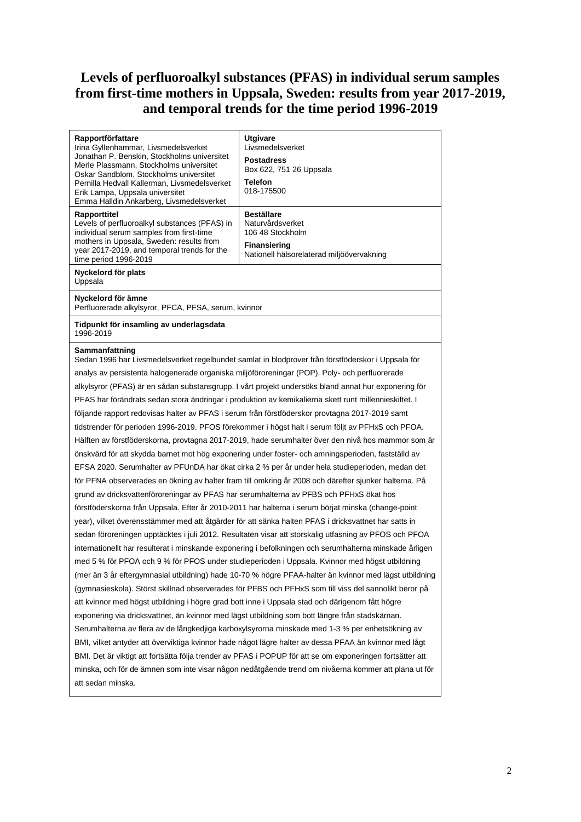# **Levels of perfluoroalkyl substances (PFAS) in individual serum samples from first-time mothers in Uppsala, Sweden: results from year 2017-2019, and temporal trends for the time period 1996-2019**

| Rapportförfattare<br>Irina Gyllenhammar, Livsmedelsverket                                          | Utgivare<br>Livsmedelsverket                                                                              |  |  |  |  |  |  |
|----------------------------------------------------------------------------------------------------|-----------------------------------------------------------------------------------------------------------|--|--|--|--|--|--|
| Jonathan P. Benskin, Stockholms universitet<br>Merle Plassmann, Stockholms universitet             | <b>Postadress</b><br>Box 622, 751 26 Uppsala                                                              |  |  |  |  |  |  |
| Oskar Sandblom, Stockholms universitet<br>Pernilla Hedvall Kallerman, Livsmedelsverket             | Telefon                                                                                                   |  |  |  |  |  |  |
| Erik Lampa, Uppsala universitet<br>Emma Halldin Ankarberg, Livsmedelsverket                        | 018-175500                                                                                                |  |  |  |  |  |  |
| Rapporttitel                                                                                       | <b>Beställare</b>                                                                                         |  |  |  |  |  |  |
| Levels of perfluoroalkyl substances (PFAS) in<br>individual serum samples from first-time          | Naturvårdsverket<br>106 48 Stockholm                                                                      |  |  |  |  |  |  |
| mothers in Uppsala, Sweden: results from                                                           | <b>Finansiering</b>                                                                                       |  |  |  |  |  |  |
| year 2017-2019, and temporal trends for the<br>time period 1996-2019                               | Nationell hälsorelaterad miljöövervakning                                                                 |  |  |  |  |  |  |
| Nyckelord för plats<br>Uppsala                                                                     |                                                                                                           |  |  |  |  |  |  |
| Nyckelord för ämne                                                                                 |                                                                                                           |  |  |  |  |  |  |
| Perfluorerade alkylsyror, PFCA, PFSA, serum, kvinnor                                               |                                                                                                           |  |  |  |  |  |  |
| Tidpunkt för insamling av underlagsdata<br>1996-2019                                               |                                                                                                           |  |  |  |  |  |  |
| Sammanfattning                                                                                     | Sedan 1996 har Livsmedelsverket regelbundet samlat in blodprover från förstföderskor i Uppsala för        |  |  |  |  |  |  |
| analys av persistenta halogenerade organiska miljöföroreningar (POP). Poly- och perfluorerade      |                                                                                                           |  |  |  |  |  |  |
|                                                                                                    | alkylsyror (PFAS) är en sådan substansgrupp. I vårt projekt undersöks bland annat hur exponering för      |  |  |  |  |  |  |
|                                                                                                    | PFAS har förändrats sedan stora ändringar i produktion av kemikalierna skett runt millennieskiftet. I     |  |  |  |  |  |  |
| följande rapport redovisas halter av PFAS i serum från förstföderskor provtagna 2017-2019 samt     |                                                                                                           |  |  |  |  |  |  |
|                                                                                                    | tidstrender för perioden 1996-2019. PFOS förekommer i högst halt i serum följt av PFHxS och PFOA.         |  |  |  |  |  |  |
| Hälften av förstföderskorna, provtagna 2017-2019, hade serumhalter över den nivå hos mammor som är |                                                                                                           |  |  |  |  |  |  |
|                                                                                                    | önskvärd för att skydda barnet mot hög exponering under foster- och amningsperioden, fastställd av        |  |  |  |  |  |  |
|                                                                                                    | EFSA 2020. Serumhalter av PFUnDA har ökat cirka 2 % per år under hela studieperioden, medan det           |  |  |  |  |  |  |
|                                                                                                    | för PFNA observerades en ökning av halter fram till omkring år 2008 och därefter sjunker halterna. På     |  |  |  |  |  |  |
| grund av dricksvattenföroreningar av PFAS har serumhalterna av PFBS och PFHxS ökat hos             |                                                                                                           |  |  |  |  |  |  |
|                                                                                                    | förstföderskorna från Uppsala. Efter år 2010-2011 har halterna i serum börjat minska (change-point        |  |  |  |  |  |  |
|                                                                                                    | year), vilket överensstämmer med att åtgärder för att sänka halten PFAS i dricksvattnet har satts in      |  |  |  |  |  |  |
|                                                                                                    | sedan föroreningen upptäcktes i juli 2012. Resultaten visar att storskalig utfasning av PFOS och PFOA     |  |  |  |  |  |  |
|                                                                                                    | internationellt har resulterat i minskande exponering i befolkningen och serumhalterna minskade årligen   |  |  |  |  |  |  |
|                                                                                                    | med 5 % för PFOA och 9 % för PFOS under studieperioden i Uppsala. Kvinnor med högst utbildning            |  |  |  |  |  |  |
|                                                                                                    | (mer än 3 år eftergymnasial utbildning) hade 10-70 % högre PFAA-halter än kvinnor med lägst utbildning    |  |  |  |  |  |  |
|                                                                                                    | (gymnasieskola). Störst skillnad observerades för PFBS och PFHxS som till viss del sannolikt beror på     |  |  |  |  |  |  |
| att kvinnor med högst utbildning i högre grad bott inne i Uppsala stad och därigenom fått högre    |                                                                                                           |  |  |  |  |  |  |
| exponering via dricksvattnet, än kvinnor med lägst utbildning som bott längre från stadskärnan.    |                                                                                                           |  |  |  |  |  |  |
|                                                                                                    | Serumhalterna av flera av de långkedjiga karboxylsyrorna minskade med 1-3 % per enhetsökning av           |  |  |  |  |  |  |
|                                                                                                    | BMI, vilket antyder att överviktiga kvinnor hade något lägre halter av dessa PFAA än kvinnor med lågt     |  |  |  |  |  |  |
|                                                                                                    | BMI. Det är viktigt att fortsätta följa trender av PFAS i POPUP för att se om exponeringen fortsätter att |  |  |  |  |  |  |
|                                                                                                    | minska, och för de ämnen som inte visar någon nedåtgående trend om nivåerna kommer att plana ut för       |  |  |  |  |  |  |
| att sedan minska.                                                                                  |                                                                                                           |  |  |  |  |  |  |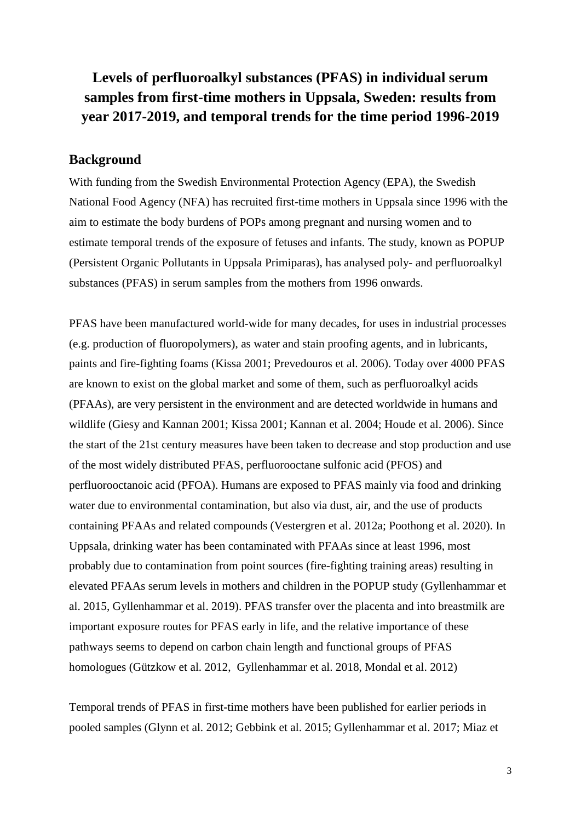# **Levels of perfluoroalkyl substances (PFAS) in individual serum samples from first-time mothers in Uppsala, Sweden: results from year 2017-2019, and temporal trends for the time period 1996-2019**

## **Background**

With funding from the Swedish Environmental Protection Agency (EPA), the Swedish National Food Agency (NFA) has recruited first-time mothers in Uppsala since 1996 with the aim to estimate the body burdens of POPs among pregnant and nursing women and to estimate temporal trends of the exposure of fetuses and infants. The study, known as POPUP (Persistent Organic Pollutants in Uppsala Primiparas), has analysed poly- and perfluoroalkyl substances (PFAS) in serum samples from the mothers from 1996 onwards.

PFAS have been manufactured world-wide for many decades, for uses in industrial processes (e.g. production of fluoropolymers), as water and stain proofing agents, and in lubricants, paints and fire-fighting foams (Kissa 2001; Prevedouros et al. 2006). Today over 4000 PFAS are known to exist on the global market and some of them, such as perfluoroalkyl acids (PFAAs), are very persistent in the environment and are detected worldwide in humans and wildlife (Giesy and Kannan 2001; Kissa 2001; Kannan et al. 2004; Houde et al. 2006). Since the start of the 21st century measures have been taken to decrease and stop production and use of the most widely distributed PFAS, perfluorooctane sulfonic acid (PFOS) and perfluorooctanoic acid (PFOA). Humans are exposed to PFAS mainly via food and drinking water due to environmental contamination, but also via dust, air, and the use of products containing PFAAs and related compounds (Vestergren et al. 2012a; Poothong et al. 2020). In Uppsala, drinking water has been contaminated with PFAAs since at least 1996, most probably due to contamination from point sources (fire-fighting training areas) resulting in elevated PFAAs serum levels in mothers and children in the POPUP study (Gyllenhammar et al. 2015, Gyllenhammar et al. 2019). PFAS transfer over the placenta and into breastmilk are important exposure routes for PFAS early in life, and the relative importance of these pathways seems to depend on carbon chain length and functional groups of PFAS homologues (Gützkow et al. 2012, Gyllenhammar et al. 2018, Mondal et al. 2012)

Temporal trends of PFAS in first-time mothers have been published for earlier periods in pooled samples (Glynn et al. 2012; Gebbink et al. 2015; Gyllenhammar et al. 2017; Miaz et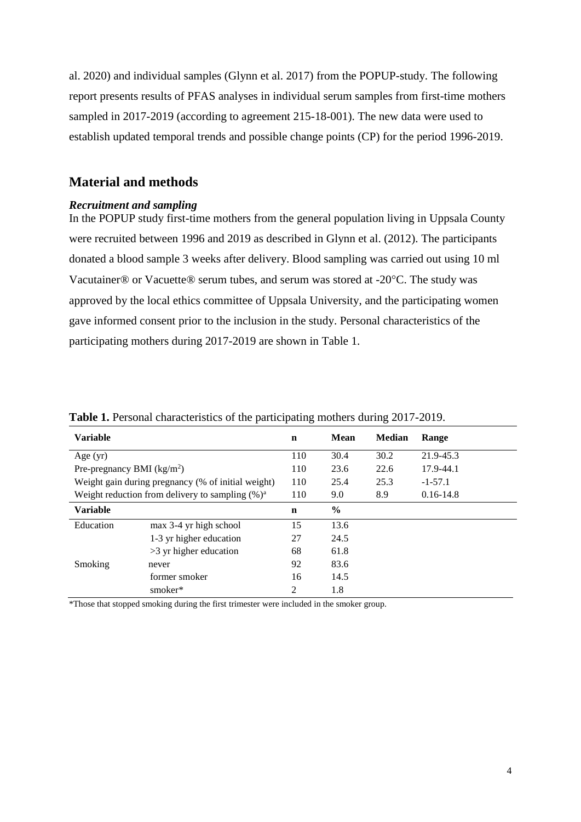al. 2020) and individual samples (Glynn et al. 2017) from the POPUP-study. The following report presents results of PFAS analyses in individual serum samples from first-time mothers sampled in 2017-2019 (according to agreement 215-18-001). The new data were used to establish updated temporal trends and possible change points (CP) for the period 1996-2019.

# **Material and methods**

## *Recruitment and sampling*

In the POPUP study first-time mothers from the general population living in Uppsala County were recruited between 1996 and 2019 as described in Glynn et al. (2012). The participants donated a blood sample 3 weeks after delivery. Blood sampling was carried out using 10 ml Vacutainer® or Vacuette® serum tubes, and serum was stored at -20°C. The study was approved by the local ethics committee of Uppsala University, and the participating women gave informed consent prior to the inclusion in the study. Personal characteristics of the participating mothers during 2017-2019 are shown in Table 1.

| <b>Variable</b>             |                                                     | $\mathbf n$ | Mean | <b>Median</b> | Range         |
|-----------------------------|-----------------------------------------------------|-------------|------|---------------|---------------|
| Age $(yr)$                  |                                                     | 110         | 30.4 | 30.2          | 21.9-45.3     |
| Pre-pregnancy BMI $(kg/m2)$ |                                                     | 110         | 23.6 | 22.6          | 17.9-44.1     |
|                             | Weight gain during pregnancy (% of initial weight)  | 110         | 25.4 | 25.3          | $-1 - 57.1$   |
|                             | Weight reduction from delivery to sampling $(\%)^a$ | 110         | 9.0  | 8.9           | $0.16 - 14.8$ |
| <b>Variable</b>             |                                                     |             | $\%$ |               |               |
| Education                   | max 3-4 yr high school                              | 15          | 13.6 |               |               |
|                             | 1-3 yr higher education                             | 27          | 24.5 |               |               |
|                             | $>3$ yr higher education                            | 68          | 61.8 |               |               |
| Smoking                     | never                                               | 92          | 83.6 |               |               |
|                             | former smoker                                       | 16          | 14.5 |               |               |
|                             | smoker*                                             | 2           | 1.8  |               |               |

**Table 1.** Personal characteristics of the participating mothers during 2017-2019.

\*Those that stopped smoking during the first trimester were included in the smoker group.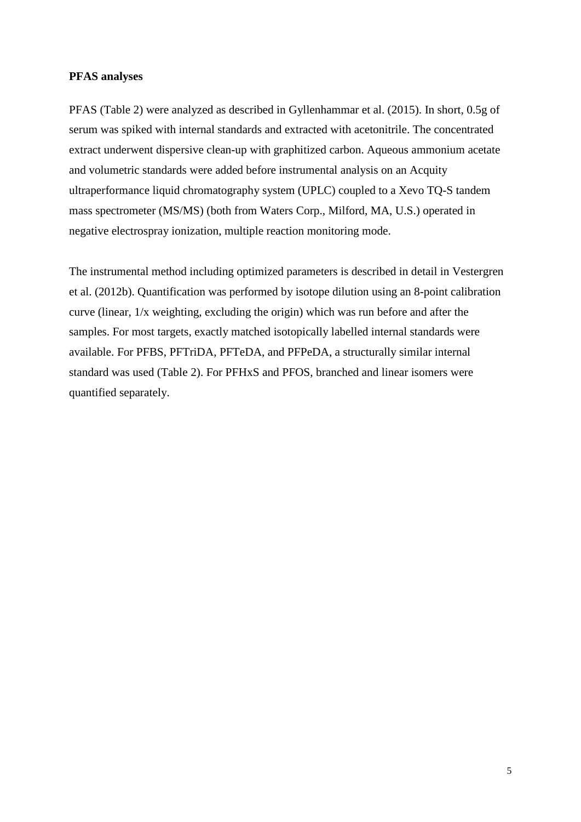#### **PFAS analyses**

PFAS (Table 2) were analyzed as described in Gyllenhammar et al. (2015). In short, 0.5g of serum was spiked with internal standards and extracted with acetonitrile. The concentrated extract underwent dispersive clean-up with graphitized carbon. Aqueous ammonium acetate and volumetric standards were added before instrumental analysis on an Acquity ultraperformance liquid chromatography system (UPLC) coupled to a Xevo TQ-S tandem mass spectrometer (MS/MS) (both from Waters Corp., Milford, MA, U.S.) operated in negative electrospray ionization, multiple reaction monitoring mode.

The instrumental method including optimized parameters is described in detail in Vestergren et al. (2012b). Quantification was performed by isotope dilution using an 8-point calibration curve (linear, 1/x weighting, excluding the origin) which was run before and after the samples. For most targets, exactly matched isotopically labelled internal standards were available. For PFBS, PFTriDA, PFTeDA, and PFPeDA, a structurally similar internal standard was used (Table 2). For PFHxS and PFOS, branched and linear isomers were quantified separately.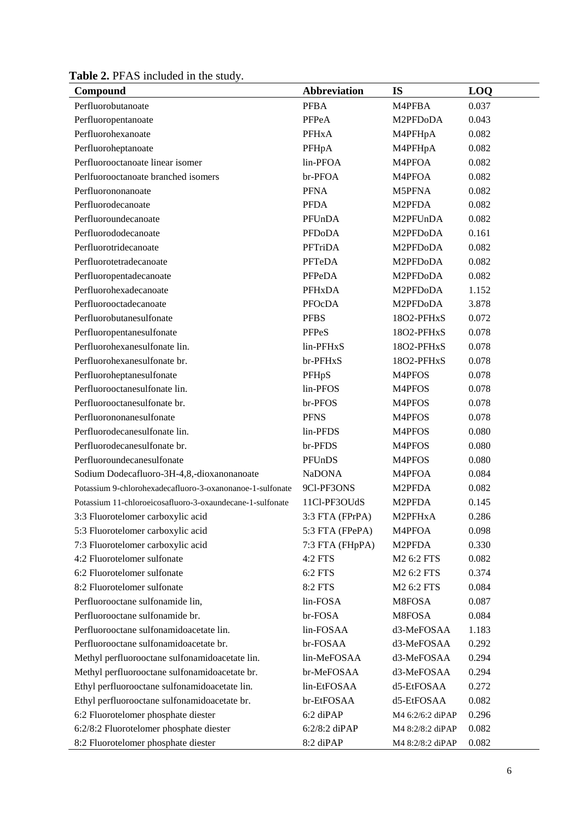**Table 2.** PFAS included in the study.

| Compound                                                  | Abbreviation      | <b>IS</b>        | LOQ   |
|-----------------------------------------------------------|-------------------|------------------|-------|
| Perfluorobutanoate                                        | <b>PFBA</b>       | M4PFBA           | 0.037 |
| Perfluoropentanoate                                       | PFPeA             | M2PFDoDA         | 0.043 |
| Perfluorohexanoate                                        | <b>PFHxA</b>      | M4PFHpA          | 0.082 |
| Perfluoroheptanoate                                       | PFHpA             | M4PFHpA          | 0.082 |
| Perfluorooctanoate linear isomer                          | lin-PFOA          | M4PFOA           | 0.082 |
| Perlfuorooctanoate branched isomers                       | br-PFOA           | M4PFOA           | 0.082 |
| Perfluorononanoate                                        | <b>PFNA</b>       | M5PFNA           | 0.082 |
| Perfluorodecanoate                                        | <b>PFDA</b>       | M2PFDA           | 0.082 |
| Perfluoroundecanoate                                      | PFUnDA            | M2PFUnDA         | 0.082 |
| Perfluorododecanoate                                      | <b>PFDoDA</b>     | M2PFDoDA         | 0.161 |
| Perfluorotridecanoate                                     | PFTriDA           | M2PFDoDA         | 0.082 |
| Perfluorotetradecanoate                                   | PFTeDA            | M2PFDoDA         | 0.082 |
| Perfluoropentadecanoate                                   | PFPeDA            | M2PFDoDA         | 0.082 |
| Perfluorohexadecanoate                                    | <b>PFHxDA</b>     | M2PFDoDA         | 1.152 |
| Perfluorooctadecanoate                                    | PFOcDA            | M2PFDoDA         | 3.878 |
| Perfluorobutanesulfonate                                  | <b>PFBS</b>       | 18O2-PFHxS       | 0.072 |
| Perfluoropentanesulfonate                                 | <b>PFPeS</b>      | 18O2-PFHxS       | 0.078 |
| Perfluorohexanesulfonate lin.                             | lin-PFHxS         | 18O2-PFHxS       | 0.078 |
| Perfluorohexanesulfonate br.                              | br-PFHxS          | 18O2-PFHxS       | 0.078 |
| Perfluoroheptanesulfonate                                 | PFHpS             | M4PFOS           | 0.078 |
| Perfluorooctanesulfonate lin.                             | lin-PFOS          | M4PFOS           | 0.078 |
| Perfluorooctanesulfonate br.                              | br-PFOS           | M4PFOS           | 0.078 |
| Perfluorononanesulfonate                                  | <b>PFNS</b>       | M4PFOS           | 0.078 |
| Perfluorodecanesulfonate lin.                             | lin-PFDS          | M4PFOS           | 0.080 |
| Perfluorodecanesulfonate br.                              | br-PFDS           | M4PFOS           | 0.080 |
| Perfluoroundecanesulfonate                                | PFUnDS            | M4PFOS           | 0.080 |
| Sodium Dodecafluoro-3H-4,8,-dioxanonanoate                | <b>NaDONA</b>     | M4PFOA           | 0.084 |
| Potassium 9-chlorohexadecafluoro-3-oxanonanoe-1-sulfonate | 9Cl-PF3ONS        | M2PFDA           | 0.082 |
| Potassium 11-chloroeicosafluoro-3-oxaundecane-1-sulfonate | 11Cl-PF3OUdS      | M2PFDA           | 0.145 |
| 3:3 Fluorotelomer carboxylic acid                         | $3:3$ FTA (FPrPA) | M2PFHxA          | 0.286 |
| 5:3 Fluorotelomer carboxylic acid                         | 5:3 FTA (FPePA)   | M4PFOA           | 0.098 |
| 7:3 Fluorotelomer carboxylic acid                         | 7:3 FTA (FHpPA)   | M2PFDA           | 0.330 |
| 4:2 Fluorotelomer sulfonate                               | 4:2 FTS           | M2 6:2 FTS       | 0.082 |
| 6:2 Fluorotelomer sulfonate                               | 6:2 FTS           | M2 6:2 FTS       | 0.374 |
| 8:2 Fluorotelomer sulfonate                               | 8:2 FTS           | M2 6:2 FTS       | 0.084 |
| Perfluorooctane sulfonamide lin,                          | lin-FOSA          | M8FOSA           | 0.087 |
| Perfluorooctane sulfonamide br.                           | br-FOSA           | M8FOSA           | 0.084 |
| Perfluorooctane sulfonamidoacetate lin.                   | lin-FOSAA         | d3-MeFOSAA       | 1.183 |
| Perfluorooctane sulfonamidoacetate br.                    | br-FOSAA          | d3-MeFOSAA       | 0.292 |
| Methyl perfluorooctane sulfonamidoacetate lin.            | lin-MeFOSAA       | d3-MeFOSAA       | 0.294 |
| Methyl perfluorooctane sulfonamidoacetate br.             | br-MeFOSAA        | d3-MeFOSAA       | 0.294 |
| Ethyl perfluorooctane sulfonamidoacetate lin.             | lin-EtFOSAA       | d5-EtFOSAA       | 0.272 |
| Ethyl perfluorooctane sulfonamidoacetate br.              | br-EtFOSAA        | d5-EtFOSAA       | 0.082 |
| 6:2 Fluorotelomer phosphate diester                       | 6:2 diPAP         | M4 6:2/6:2 diPAP | 0.296 |
| 6:2/8:2 Fluorotelomer phosphate diester                   | 6:2/8:2 diPAP     | M4 8:2/8:2 diPAP | 0.082 |
| 8:2 Fluorotelomer phosphate diester                       | 8:2 diPAP         | M4 8:2/8:2 diPAP | 0.082 |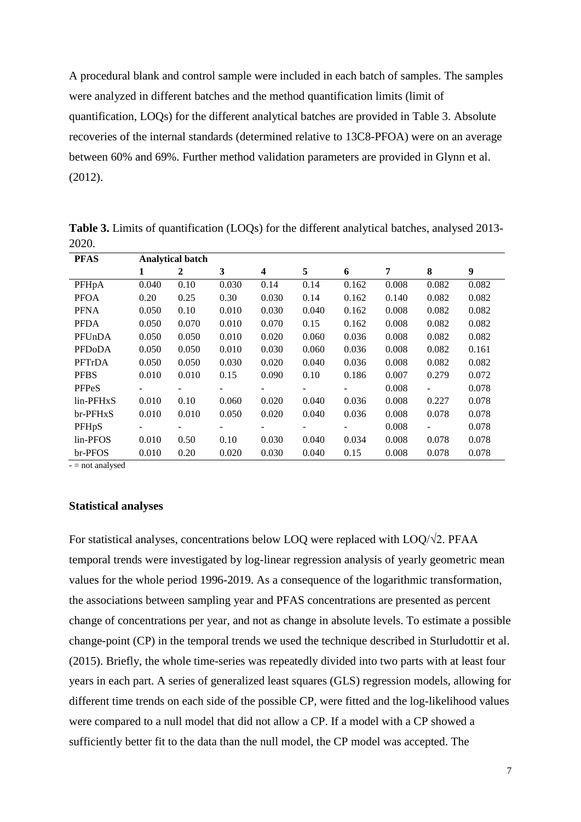A procedural blank and control sample were included in each batch of samples. The samples were analyzed in different batches and the method quantification limits (limit of quantification, LOQs) for the different analytical batches are provided in Table 3. Absolute recoveries of the internal standards (determined relative to 13C8-PFOA) were on an average between 60% and 69%. Further method validation parameters are provided in Glynn et al. (2012).

| <b>PFAS</b>         | <b>Analytical batch</b> |                          |       |                          |                          |                          |       |       |       |  |
|---------------------|-------------------------|--------------------------|-------|--------------------------|--------------------------|--------------------------|-------|-------|-------|--|
|                     | 1                       | 2                        | 3     | $\overline{\mathbf{4}}$  | 5                        | 6                        | 7     | 8     | 9     |  |
| PFHpA               | 0.040                   | 0.10                     | 0.030 | 0.14                     | 0.14                     | 0.162                    | 0.008 | 0.082 | 0.082 |  |
| <b>PFOA</b>         | 0.20                    | 0.25                     | 0.30  | 0.030                    | 0.14                     | 0.162                    | 0.140 | 0.082 | 0.082 |  |
| <b>PFNA</b>         | 0.050                   | 0.10                     | 0.010 | 0.030                    | 0.040                    | 0.162                    | 0.008 | 0.082 | 0.082 |  |
| <b>PFDA</b>         | 0.050                   | 0.070                    | 0.010 | 0.070                    | 0.15                     | 0.162                    | 0.008 | 0.082 | 0.082 |  |
| PFUnDA              | 0.050                   | 0.050                    | 0.010 | 0.020                    | 0.060                    | 0.036                    | 0.008 | 0.082 | 0.082 |  |
| PFD <sub>o</sub> DA | 0.050                   | 0.050                    | 0.010 | 0.030                    | 0.060                    | 0.036                    | 0.008 | 0.082 | 0.161 |  |
| PFTrDA              | 0.050                   | 0.050                    | 0.030 | 0.020                    | 0.040                    | 0.036                    | 0.008 | 0.082 | 0.082 |  |
| <b>PFBS</b>         | 0.010                   | 0.010                    | 0.15  | 0.090                    | 0.10                     | 0.186                    | 0.007 | 0.279 | 0.072 |  |
| <b>PFPeS</b>        |                         |                          |       | $\overline{\phantom{a}}$ |                          |                          | 0.008 |       | 0.078 |  |
| lin-PFHxS           | 0.010                   | 0.10                     | 0.060 | 0.020                    | 0.040                    | 0.036                    | 0.008 | 0.227 | 0.078 |  |
| br-PFHxS            | 0.010                   | 0.010                    | 0.050 | 0.020                    | 0.040                    | 0.036                    | 0.008 | 0.078 | 0.078 |  |
| PFHpS               | Ξ.                      | $\overline{\phantom{a}}$ |       | Ξ.                       | $\overline{\phantom{a}}$ | $\overline{\phantom{a}}$ | 0.008 |       | 0.078 |  |
| lin-PFOS            | 0.010                   | 0.50                     | 0.10  | 0.030                    | 0.040                    | 0.034                    | 0.008 | 0.078 | 0.078 |  |
| br-PFOS             | 0.010                   | 0.20                     | 0.020 | 0.030                    | 0.040                    | 0.15                     | 0.008 | 0.078 | 0.078 |  |

**Table 3.** Limits of quantification (LOQs) for the different analytical batches, analysed 2013- 2020.

 $-$  = not analysed

#### **Statistical analyses**

For statistical analyses, concentrations below LOQ were replaced with LOQ/√2. PFAA temporal trends were investigated by log-linear regression analysis of yearly geometric mean values for the whole period 1996-2019. As a consequence of the logarithmic transformation, the associations between sampling year and PFAS concentrations are presented as percent change of concentrations per year, and not as change in absolute levels. To estimate a possible change-point (CP) in the temporal trends we used the technique described in Sturludottir et al. (2015). Briefly, the whole time-series was repeatedly divided into two parts with at least four years in each part. A series of generalized least squares (GLS) regression models, allowing for different time trends on each side of the possible CP, were fitted and the log-likelihood values were compared to a null model that did not allow a CP. If a model with a CP showed a sufficiently better fit to the data than the null model, the CP model was accepted. The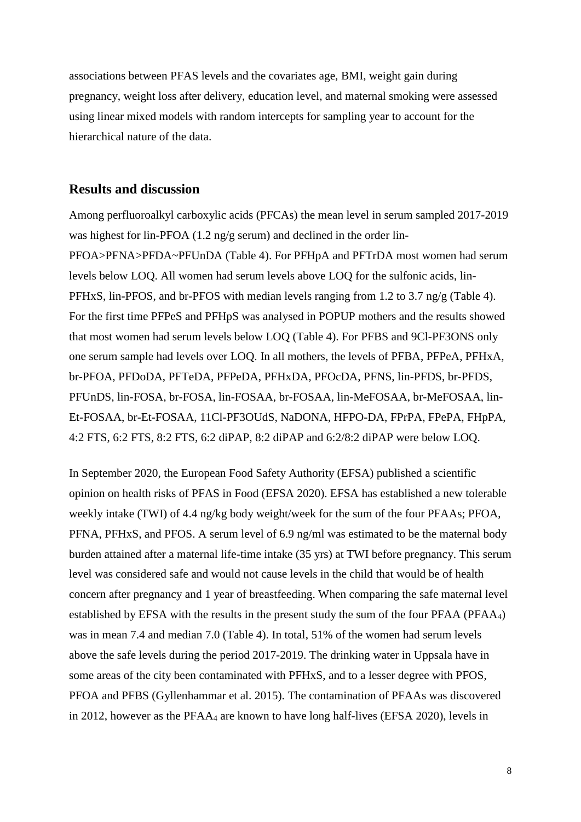associations between PFAS levels and the covariates age, BMI, weight gain during pregnancy, weight loss after delivery, education level, and maternal smoking were assessed using linear mixed models with random intercepts for sampling year to account for the hierarchical nature of the data.

# **Results and discussion**

Among perfluoroalkyl carboxylic acids (PFCAs) the mean level in serum sampled 2017-2019 was highest for lin-PFOA (1.2 ng/g serum) and declined in the order lin-PFOA>PFNA>PFDA~PFUnDA (Table 4). For PFHpA and PFTrDA most women had serum levels below LOQ. All women had serum levels above LOQ for the sulfonic acids, lin-PFHxS, lin-PFOS, and br-PFOS with median levels ranging from 1.2 to 3.7 ng/g (Table 4). For the first time PFPeS and PFHpS was analysed in POPUP mothers and the results showed that most women had serum levels below LOQ (Table 4). For PFBS and 9Cl-PF3ONS only one serum sample had levels over LOQ. In all mothers, the levels of PFBA, PFPeA, PFHxA, br-PFOA, PFDoDA, PFTeDA, PFPeDA, PFHxDA, PFOcDA, PFNS, lin-PFDS, br-PFDS, PFUnDS, lin-FOSA, br-FOSA, lin-FOSAA, br-FOSAA, lin-MeFOSAA, br-MeFOSAA, lin-Et-FOSAA, br-Et-FOSAA, 11Cl-PF3OUdS, NaDONA, HFPO-DA, FPrPA, FPePA, FHpPA, 4:2 FTS, 6:2 FTS, 8:2 FTS, 6:2 diPAP, 8:2 diPAP and 6:2/8:2 diPAP were below LOQ.

In September 2020, the European Food Safety Authority (EFSA) published a scientific opinion on health risks of PFAS in Food (EFSA 2020). EFSA has established a new tolerable weekly intake (TWI) of 4.4 ng/kg body weight/week for the sum of the four PFAAs; PFOA, PFNA, PFHxS, and PFOS. A serum level of 6.9 ng/ml was estimated to be the maternal body burden attained after a maternal life-time intake (35 yrs) at TWI before pregnancy. This serum level was considered safe and would not cause levels in the child that would be of health concern after pregnancy and 1 year of breastfeeding. When comparing the safe maternal level established by EFSA with the results in the present study the sum of the four PFAA (PFAA4) was in mean 7.4 and median 7.0 (Table 4). In total, 51% of the women had serum levels above the safe levels during the period 2017-2019. The drinking water in Uppsala have in some areas of the city been contaminated with PFHxS, and to a lesser degree with PFOS, PFOA and PFBS (Gyllenhammar et al. 2015). The contamination of PFAAs was discovered in 2012, however as the PFAA<sup>4</sup> are known to have long half-lives (EFSA 2020), levels in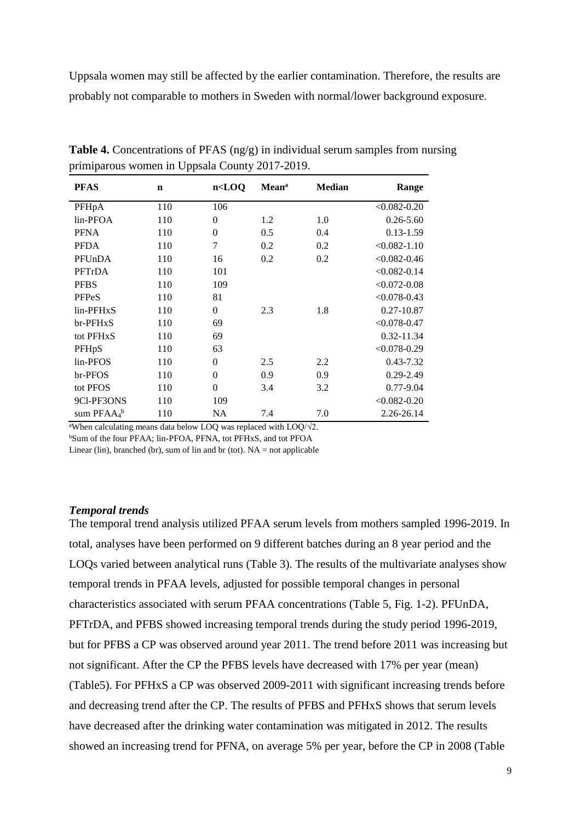Uppsala women may still be affected by the earlier contamination. Therefore, the results are probably not comparable to mothers in Sweden with normal/lower background exposure.

| <b>PFAS</b>           | $\mathbf n$ | $n <$ LOQ      | <b>Mean</b> <sup>a</sup> | <b>Median</b> | Range            |
|-----------------------|-------------|----------------|--------------------------|---------------|------------------|
| PFHpA                 | 110         | 106            |                          |               | $< 0.082 - 0.20$ |
| lin-PFOA              | 110         | $\overline{0}$ | 1.2                      | 1.0           | $0.26 - 5.60$    |
| <b>PFNA</b>           | 110         | $\overline{0}$ | 0.5                      | 0.4           | $0.13 - 1.59$    |
| <b>PFDA</b>           | 110         | $\overline{7}$ | 0.2                      | 0.2           | $< 0.082 - 1.10$ |
| PFUnDA                | 110         | 16             | 0.2                      | 0.2           | $< 0.082 - 0.46$ |
| PFTrDA                | 110         | 101            |                          |               | $< 0.082 - 0.14$ |
| <b>PFBS</b>           | 110         | 109            |                          |               | $< 0.072 - 0.08$ |
| <b>PFPeS</b>          | 110         | 81             |                          |               | $< 0.078 - 0.43$ |
| lin-PFHxS             | 110         | $\theta$       | 2.3                      | 1.8           | $0.27 - 10.87$   |
| br-PFHxS              | 110         | 69             |                          |               | $< 0.078 - 0.47$ |
| tot PFH <sub>xS</sub> | 110         | 69             |                          |               | 0.32-11.34       |
| PFHpS                 | 110         | 63             |                          |               | $< 0.078 - 0.29$ |
| lin-PFOS              | 110         | $\overline{0}$ | 2.5                      | 2.2           | 0.43-7.32        |
| br-PFOS               | 110         | $\overline{0}$ | 0.9                      | 0.9           | $0.29 - 2.49$    |
| tot PFOS              | 110         | $\theta$       | 3.4                      | 3.2           | $0.77 - 9.04$    |
| 9Cl-PF3ONS            | 110         | 109            |                          |               | $< 0.082 - 0.20$ |
| sum $PFAA_4^b$        | 110         | <b>NA</b>      | 7.4                      | 7.0           | 2.26-26.14       |

**Table 4.** Concentrations of PFAS (ng/g) in individual serum samples from nursing primiparous women in Uppsala County 2017-2019.

<sup>a</sup>When calculating means data below LOQ was replaced with LOQ/ $\sqrt{2}$ .

<sup>b</sup>Sum of the four PFAA; lin-PFOA, PFNA, tot PFHxS, and tot PFOA

Linear (lin), branched (br), sum of lin and br (tot).  $NA = not$  applicable

#### *Temporal trends*

The temporal trend analysis utilized PFAA serum levels from mothers sampled 1996-2019. In total, analyses have been performed on 9 different batches during an 8 year period and the LOQs varied between analytical runs (Table 3). The results of the multivariate analyses show temporal trends in PFAA levels, adjusted for possible temporal changes in personal characteristics associated with serum PFAA concentrations (Table 5, Fig. 1-2). PFUnDA, PFTrDA, and PFBS showed increasing temporal trends during the study period 1996-2019, but for PFBS a CP was observed around year 2011. The trend before 2011 was increasing but not significant. After the CP the PFBS levels have decreased with 17% per year (mean) (Table5). For PFHxS a CP was observed 2009-2011 with significant increasing trends before and decreasing trend after the CP. The results of PFBS and PFHxS shows that serum levels have decreased after the drinking water contamination was mitigated in 2012. The results showed an increasing trend for PFNA, on average 5% per year, before the CP in 2008 (Table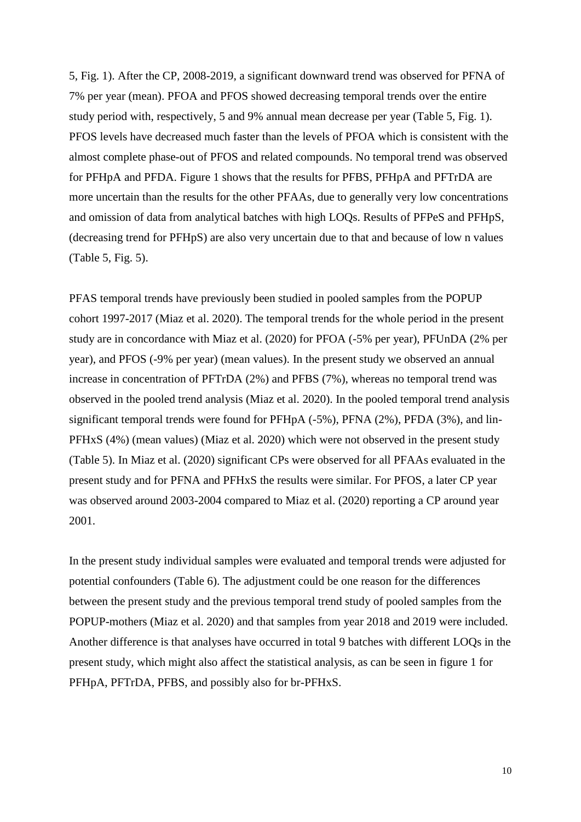5, Fig. 1). After the CP, 2008-2019, a significant downward trend was observed for PFNA of 7% per year (mean). PFOA and PFOS showed decreasing temporal trends over the entire study period with, respectively, 5 and 9% annual mean decrease per year (Table 5, Fig. 1). PFOS levels have decreased much faster than the levels of PFOA which is consistent with the almost complete phase-out of PFOS and related compounds. No temporal trend was observed for PFHpA and PFDA. Figure 1 shows that the results for PFBS, PFHpA and PFTrDA are more uncertain than the results for the other PFAAs, due to generally very low concentrations and omission of data from analytical batches with high LOQs. Results of PFPeS and PFHpS, (decreasing trend for PFHpS) are also very uncertain due to that and because of low n values (Table 5, Fig. 5).

PFAS temporal trends have previously been studied in pooled samples from the POPUP cohort 1997-2017 (Miaz et al. 2020). The temporal trends for the whole period in the present study are in concordance with Miaz et al. (2020) for PFOA (-5% per year), PFUnDA (2% per year), and PFOS (-9% per year) (mean values). In the present study we observed an annual increase in concentration of PFTrDA (2%) and PFBS (7%), whereas no temporal trend was observed in the pooled trend analysis (Miaz et al. 2020). In the pooled temporal trend analysis significant temporal trends were found for PFHpA (-5%), PFNA (2%), PFDA (3%), and lin-PFHxS (4%) (mean values) (Miaz et al. 2020) which were not observed in the present study (Table 5). In Miaz et al. (2020) significant CPs were observed for all PFAAs evaluated in the present study and for PFNA and PFHxS the results were similar. For PFOS, a later CP year was observed around 2003-2004 compared to Miaz et al. (2020) reporting a CP around year 2001.

In the present study individual samples were evaluated and temporal trends were adjusted for potential confounders (Table 6). The adjustment could be one reason for the differences between the present study and the previous temporal trend study of pooled samples from the POPUP-mothers (Miaz et al. 2020) and that samples from year 2018 and 2019 were included. Another difference is that analyses have occurred in total 9 batches with different LOQs in the present study, which might also affect the statistical analysis, as can be seen in figure 1 for PFHpA, PFTrDA, PFBS, and possibly also for br-PFHxS.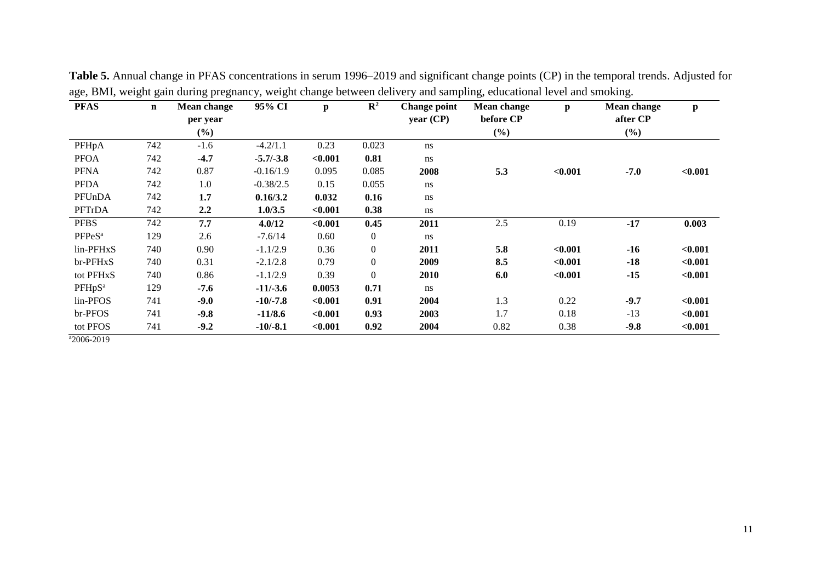| <b>PFAS</b>        | $\mathbf n$ | Mean change | 95% CI      | p       | $\mathbb{R}^2$ | <b>Change point</b> | Mean change | p       | Mean change | $\mathbf{p}$ |
|--------------------|-------------|-------------|-------------|---------|----------------|---------------------|-------------|---------|-------------|--------------|
|                    |             | per year    |             |         |                | year (CP)           | before CP   |         | after CP    |              |
|                    |             | $(\%)$      |             |         |                |                     | (%)         |         | (%)         |              |
| PFHpA              | 742         | $-1.6$      | $-4.2/1.1$  | 0.23    | 0.023          | ns                  |             |         |             |              |
| <b>PFOA</b>        | 742         | $-4.7$      | $-5.7/-3.8$ | < 0.001 | 0.81           | ns                  |             |         |             |              |
| <b>PFNA</b>        | 742         | 0.87        | $-0.16/1.9$ | 0.095   | 0.085          | 2008                | 5.3         | < 0.001 | $-7.0$      | < 0.001      |
| <b>PFDA</b>        | 742         | 1.0         | $-0.38/2.5$ | 0.15    | 0.055          | ns                  |             |         |             |              |
| PFUnDA             | 742         | 1.7         | 0.16/3.2    | 0.032   | 0.16           | ns                  |             |         |             |              |
| PFTrDA             | 742         | 2.2         | 1.0/3.5     | < 0.001 | 0.38           | ns                  |             |         |             |              |
| <b>PFBS</b>        | 742         | 7.7         | 4.0/12      | < 0.001 | 0.45           | 2011                | 2.5         | 0.19    | $-17$       | 0.003        |
| PFPeS <sup>a</sup> | 129         | 2.6         | $-7.6/14$   | 0.60    | $\overline{0}$ | ns                  |             |         |             |              |
| lin-PFHxS          | 740         | 0.90        | $-1.1/2.9$  | 0.36    | $\mathbf{0}$   | 2011                | 5.8         | < 0.001 | $-16$       | < 0.001      |
| br-PFHxS           | 740         | 0.31        | $-2.1/2.8$  | 0.79    | $\mathbf{0}$   | 2009                | 8.5         | < 0.001 | $-18$       | < 0.001      |
| tot PFHxS          | 740         | 0.86        | $-1.1/2.9$  | 0.39    | $\overline{0}$ | 2010                | 6.0         | < 0.001 | $-15$       | < 0.001      |
| PFHpS <sup>a</sup> | 129         | $-7.6$      | $-11/-3.6$  | 0.0053  | 0.71           | ns                  |             |         |             |              |
| lin-PFOS           | 741         | $-9.0$      | $-10/-7.8$  | < 0.001 | 0.91           | 2004                | 1.3         | 0.22    | $-9.7$      | < 0.001      |
| br-PFOS            | 741         | $-9.8$      | $-11/8.6$   | < 0.001 | 0.93           | 2003                | 1.7         | 0.18    | $-13$       | < 0.001      |
| tot PFOS           | 741         | $-9.2$      | $-10/-8.1$  | < 0.001 | 0.92           | 2004                | 0.82        | 0.38    | $-9.8$      | < 0.001      |

**Table 5.** Annual change in PFAS concentrations in serum 1996–2019 and significant change points (CP) in the temporal trends. Adjusted for age, BMI, weight gain during pregnancy, weight change between delivery and sampling, educational level and smoking.

 $a_{2006-2019}$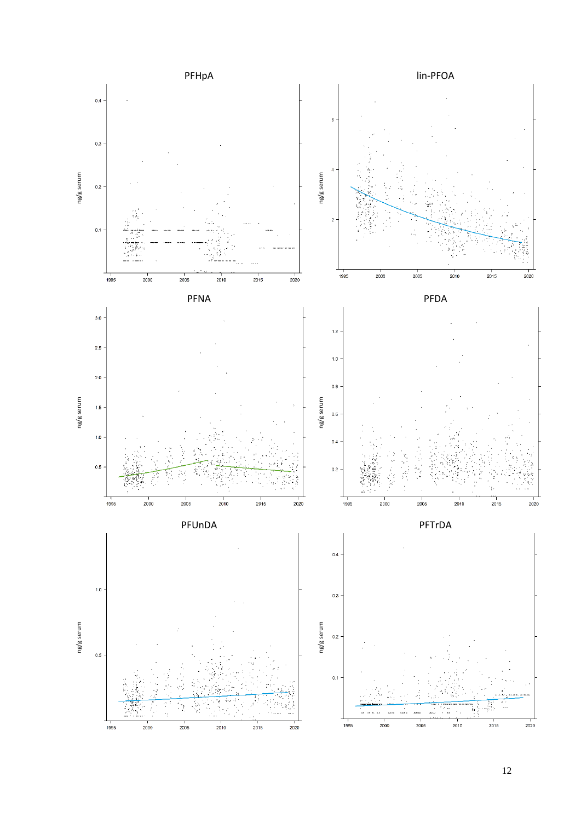

12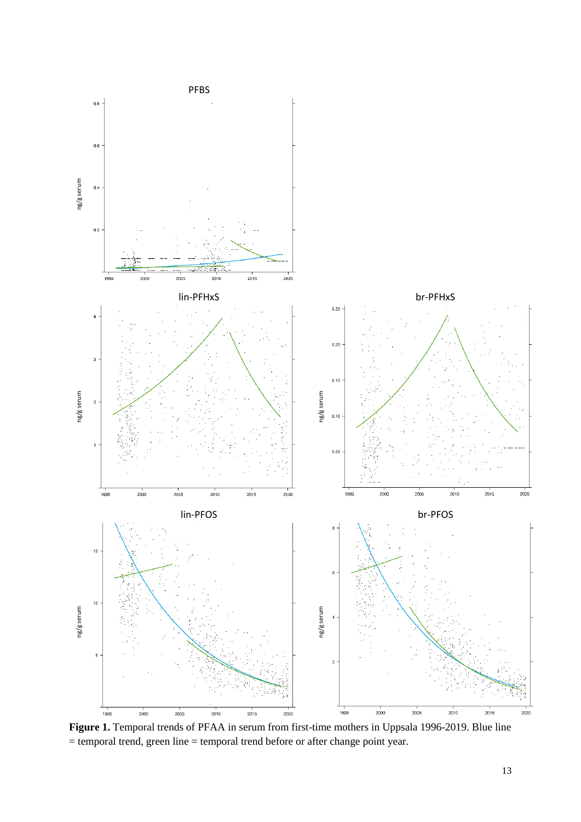

**Figure 1.** Temporal trends of PFAA in serum from first-time mothers in Uppsala 1996-2019. Blue line = temporal trend, green line = temporal trend before or after change point year.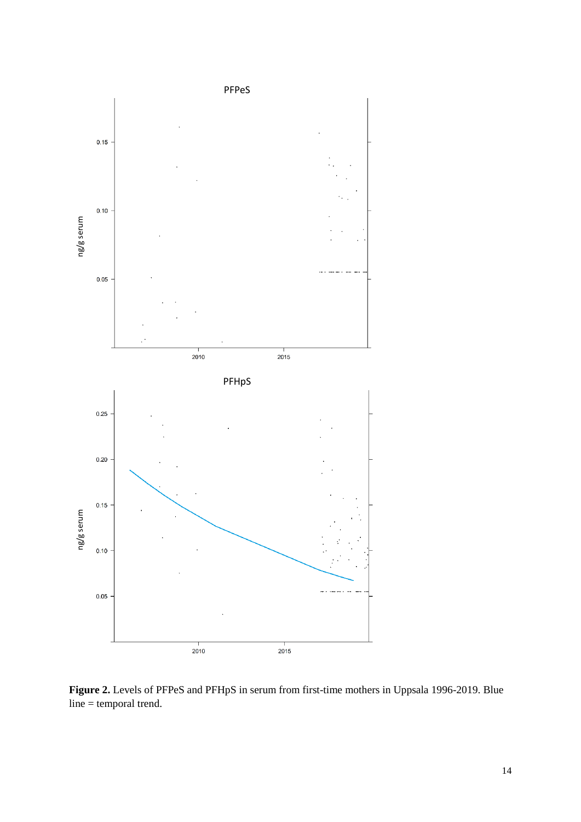

**Figure 2.** Levels of PFPeS and PFHpS in serum from first-time mothers in Uppsala 1996-2019. Blue line = temporal trend.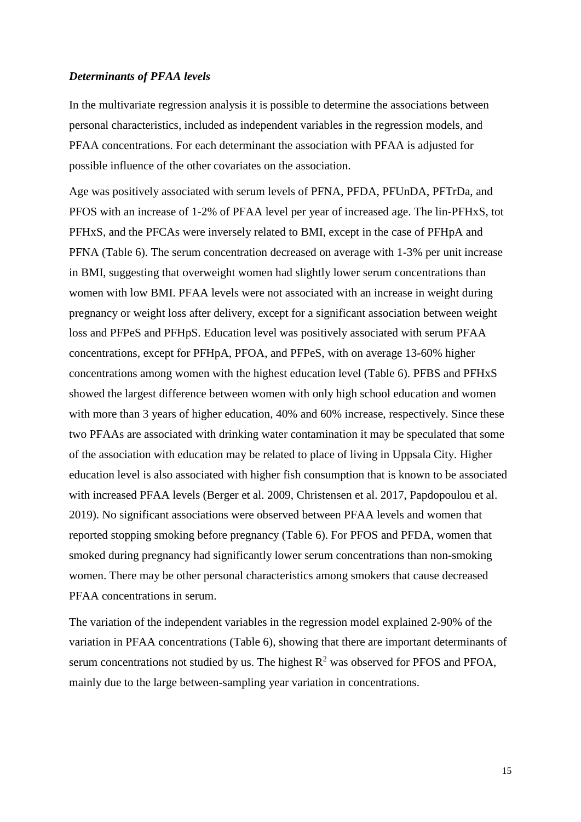#### *Determinants of PFAA levels*

In the multivariate regression analysis it is possible to determine the associations between personal characteristics, included as independent variables in the regression models, and PFAA concentrations. For each determinant the association with PFAA is adjusted for possible influence of the other covariates on the association.

Age was positively associated with serum levels of PFNA, PFDA, PFUnDA, PFTrDa, and PFOS with an increase of 1-2% of PFAA level per year of increased age. The lin-PFHxS, tot PFHxS, and the PFCAs were inversely related to BMI, except in the case of PFHpA and PFNA (Table 6). The serum concentration decreased on average with 1-3% per unit increase in BMI, suggesting that overweight women had slightly lower serum concentrations than women with low BMI. PFAA levels were not associated with an increase in weight during pregnancy or weight loss after delivery, except for a significant association between weight loss and PFPeS and PFHpS. Education level was positively associated with serum PFAA concentrations, except for PFHpA, PFOA, and PFPeS, with on average 13-60% higher concentrations among women with the highest education level (Table 6). PFBS and PFHxS showed the largest difference between women with only high school education and women with more than 3 years of higher education, 40% and 60% increase, respectively. Since these two PFAAs are associated with drinking water contamination it may be speculated that some of the association with education may be related to place of living in Uppsala City. Higher education level is also associated with higher fish consumption that is known to be associated with increased PFAA levels (Berger et al. 2009, Christensen et al. 2017, Papdopoulou et al. 2019). No significant associations were observed between PFAA levels and women that reported stopping smoking before pregnancy (Table 6). For PFOS and PFDA, women that smoked during pregnancy had significantly lower serum concentrations than non-smoking women. There may be other personal characteristics among smokers that cause decreased PFAA concentrations in serum.

The variation of the independent variables in the regression model explained 2-90% of the variation in PFAA concentrations (Table 6), showing that there are important determinants of serum concentrations not studied by us. The highest  $R^2$  was observed for PFOS and PFOA, mainly due to the large between-sampling year variation in concentrations.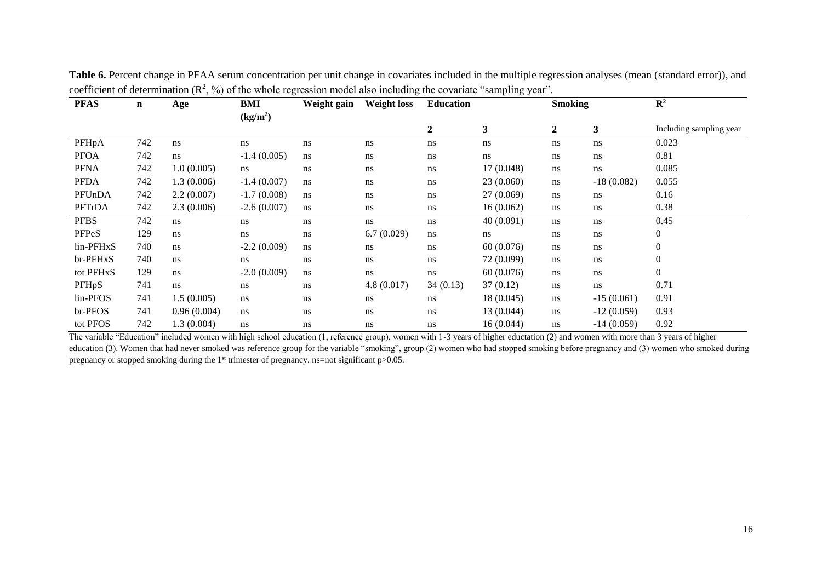| <b>PFAS</b> | $\mathbf n$ | Age         | BMI                  | Weight gain | <b>Weight loss</b> | <b>Education</b> |            | <b>Smoking</b>   |              | $\mathbb{R}^2$          |
|-------------|-------------|-------------|----------------------|-------------|--------------------|------------------|------------|------------------|--------------|-------------------------|
|             |             |             | (kg/m <sup>2</sup> ) |             |                    |                  |            |                  |              |                         |
|             |             |             |                      |             |                    | $\boldsymbol{2}$ | 3          | $\boldsymbol{2}$ | 3            | Including sampling year |
| PFHpA       | 742         | ns          | ns                   | ns          | ns                 | $\rm ns$         | ns         | $\rm ns$         | ns           | 0.023                   |
| <b>PFOA</b> | 742         | ns          | $-1.4(0.005)$        | ns          | ns                 | ns               | ns         | $\rm ns$         | ns           | 0.81                    |
| <b>PFNA</b> | 742         | 1.0(0.005)  | ns                   | ns          | ns                 | ns               | 17 (0.048) | ns               | ns           | 0.085                   |
| <b>PFDA</b> | 742         | 1.3(0.006)  | $-1.4(0.007)$        | ns          | ns                 | ns               | 23(0.060)  | $\rm ns$         | $-18(0.082)$ | 0.055                   |
| PFUnDA      | 742         | 2.2(0.007)  | $-1.7(0.008)$        | ns          | ns                 | ns               | 27(0.069)  | ns               | ns           | 0.16                    |
| PFTrDA      | 742         | 2.3(0.006)  | $-2.6(0.007)$        | ns          | ns                 | ns               | 16(0.062)  | ns               | ns           | 0.38                    |
| <b>PFBS</b> | 742         | ns          | ns                   | ns          | ns                 | ns               | 40(0.091)  | ns               | ns           | 0.45                    |
| PFPeS       | 129         | ns          | ns                   | ns          | 6.7(0.029)         | ns               | ns         | ns               | ns           | $\boldsymbol{0}$        |
| lin-PFHxS   | 740         | ns          | $-2.2(0.009)$        | ns          | ns                 | ns               | 60(0.076)  | ns               | ns           | $\boldsymbol{0}$        |
| br-PFHxS    | 740         | ns          | ns                   | ns          | ns                 | ns               | 72 (0.099) | ns               | ns           | $\overline{0}$          |
| tot PFHxS   | 129         | ns          | $-2.0(0.009)$        | ns          | ns                 | ns               | 60(0.076)  | ns               | ns           | $\overline{0}$          |
| PFHpS       | 741         | ns          | ns                   | ns          | 4.8(0.017)         | 34(0.13)         | 37(0.12)   | ns               | ns           | 0.71                    |
| lin-PFOS    | 741         | 1.5(0.005)  | ns                   | ns          | ns                 | ns               | 18 (0.045) | ns               | $-15(0.061)$ | 0.91                    |
| br-PFOS     | 741         | 0.96(0.004) | ns                   | ns          | ns                 | ns               | 13 (0.044) | ns               | $-12(0.059)$ | 0.93                    |
| tot PFOS    | 742         | 1.3 (0.004) | ns                   | ns          | ns                 | ns               | 16 (0.044) | ns               | $-14(0.059)$ | 0.92                    |

**Table 6.** Percent change in PFAA serum concentration per unit change in covariates included in the multiple regression analyses (mean (standard error)), and coefficient of determination  $(\mathbb{R}^2, \%)$  of the whole regression model also including the covariate "sampling year".

The variable "Education" included women with high school education (1, reference group), women with 1-3 years of higher eductation (2) and women with more than 3 years of higher education (3). Women that had never smoked was reference group for the variable "smoking", group (2) women who had stopped smoking before pregnancy and (3) women who smoked during pregnancy or stopped smoking during the 1<sup>st</sup> trimester of pregnancy. ns=not significant p>0.05.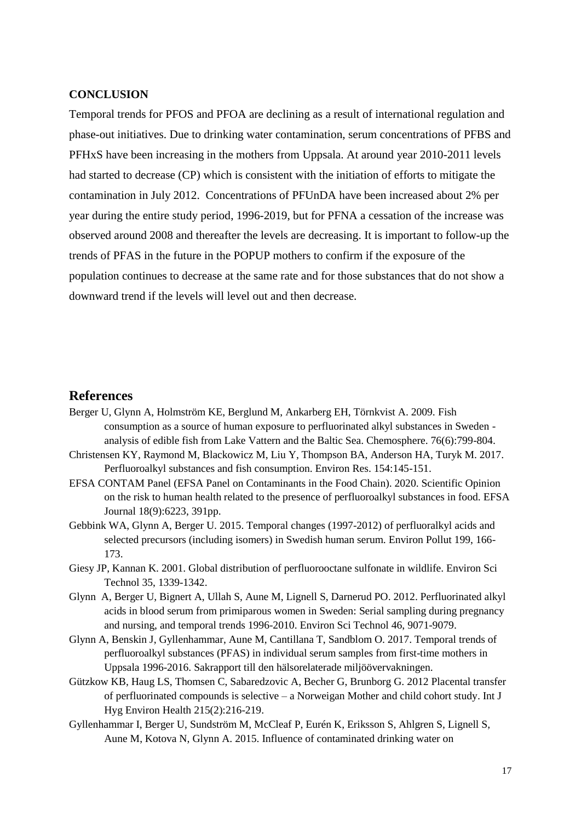## **CONCLUSION**

Temporal trends for PFOS and PFOA are declining as a result of international regulation and phase-out initiatives. Due to drinking water contamination, serum concentrations of PFBS and PFHxS have been increasing in the mothers from Uppsala. At around year 2010-2011 levels had started to decrease (CP) which is consistent with the initiation of efforts to mitigate the contamination in July 2012. Concentrations of PFUnDA have been increased about 2% per year during the entire study period, 1996-2019, but for PFNA a cessation of the increase was observed around 2008 and thereafter the levels are decreasing. It is important to follow-up the trends of PFAS in the future in the POPUP mothers to confirm if the exposure of the population continues to decrease at the same rate and for those substances that do not show a downward trend if the levels will level out and then decrease.

#### **References**

Berger U, Glynn A, Holmström KE, Berglund M, Ankarberg EH, Törnkvist A. 2009. Fish consumption as a source of human exposure to perfluorinated alkyl substances in Sweden analysis of edible fish from Lake Vattern and the Baltic Sea. Chemosphere. 76(6):799-804.

Christensen KY, Raymond M, Blackowicz M, Liu Y, Thompson BA, Anderson HA, Turyk M. 2017. Perfluoroalkyl substances and fish consumption. Environ Res. 154:145-151.

- EFSA CONTAM Panel (EFSA Panel on Contaminants in the Food Chain). 2020. Scientific Opinion on the risk to human health related to the presence of perfluoroalkyl substances in food. EFSA Journal 18(9):6223, 391pp.
- Gebbink WA, Glynn A, Berger U. 2015. Temporal changes (1997-2012) of perfluoralkyl acids and selected precursors (including isomers) in Swedish human serum. Environ Pollut 199, 166- 173.
- Giesy JP, Kannan K. 2001. Global distribution of perfluorooctane sulfonate in wildlife. Environ Sci Technol 35, 1339-1342.
- Glynn A, Berger U, Bignert A, Ullah S, Aune M, Lignell S, Darnerud PO. 2012. Perfluorinated alkyl acids in blood serum from primiparous women in Sweden: Serial sampling during pregnancy and nursing, and temporal trends 1996-2010. Environ Sci Technol 46, 9071-9079.
- Glynn A, Benskin J, Gyllenhammar, Aune M, Cantillana T, Sandblom O. 2017. Temporal trends of perfluoroalkyl substances (PFAS) in individual serum samples from first-time mothers in Uppsala 1996-2016. Sakrapport till den hälsorelaterade miljöövervakningen.
- Gützkow KB, Haug LS, Thomsen C, Sabaredzovic A, Becher G, Brunborg G. 2012 Placental transfer of perfluorinated compounds is selective – a Norweigan Mother and child cohort study. Int J Hyg Environ Health 215(2):216-219.
- Gyllenhammar I, Berger U, Sundström M, McCleaf P, Eurén K, Eriksson S, Ahlgren S, Lignell S, Aune M, Kotova N, Glynn A. 2015. Influence of contaminated drinking water on